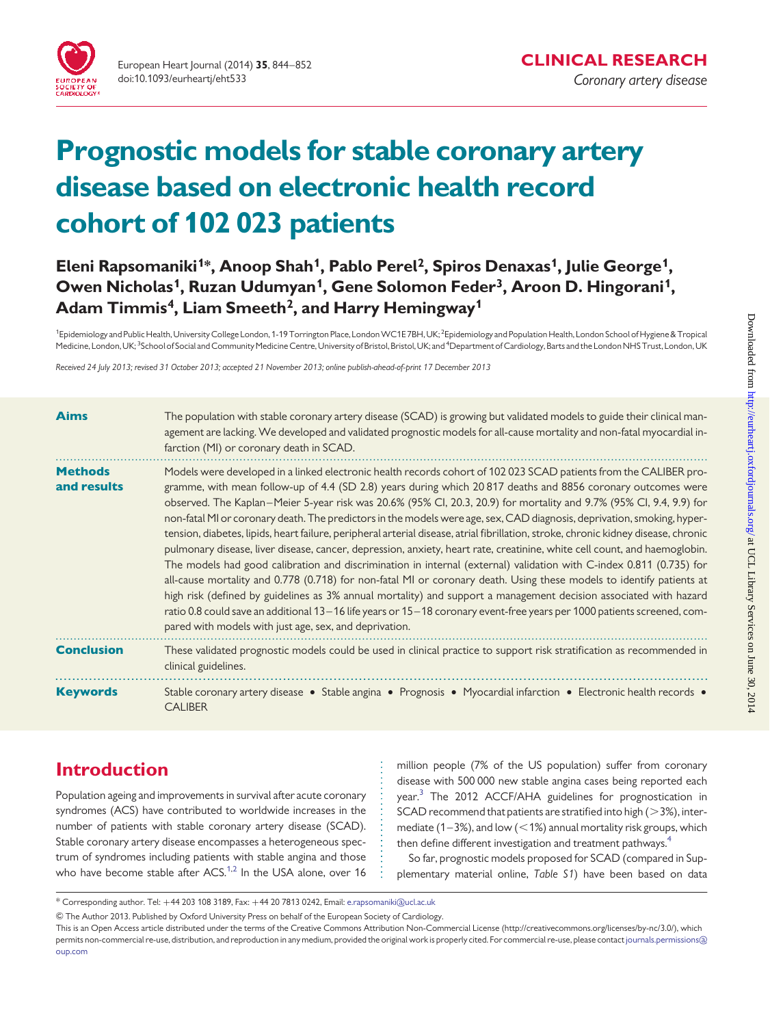

European Heart Journal (2014) 35, 844–852 doi:10.1093/eurheartj/eht533

# Prognostic models for stable coronary artery disease based on electronic health record cohort of 102 023 patients

# Eleni Rapsomaniki<sup>1\*</sup>, Anoop Shah<sup>1</sup>, Pablo Perel<sup>2</sup>, Spiros Denaxas<sup>1</sup>, Julie George<sup>1</sup>, Owen Nicholas<sup>1</sup>, Ruzan Udumyan<sup>1</sup>, Gene Solomon Feder<sup>3</sup>, Aroon D. Hingorani<sup>1</sup>, Adam Timmis<sup>4</sup>, Liam Smeeth<sup>2</sup>, and Harry Hemingway<sup>1</sup>

<sup>1</sup>Epidemiology and Public Health, University College London, 1-19 Torrington Place, London WC1E 7BH, UK; <sup>2</sup>Epidemiology and Population Health, London School of Hygiene & Tropical Medicine, London, UK; <sup>3</sup>School of Social and Community Medicine Centre, University of Bristol, Bristol, UK; and <sup>4</sup>Department of Cardiology, Barts and the London NHS Trust, London, UK

Received 24 July 2013; revised 31 October 2013; accepted 21 November 2013; online publish-ahead-of-print 17 December 2013

| <b>Aims</b>                   | The population with stable coronary artery disease (SCAD) is growing but validated models to guide their clinical man-<br>agement are lacking. We developed and validated prognostic models for all-cause mortality and non-fatal myocardial in-<br>farction (MI) or coronary death in SCAD.                                                                                                                                                                                                                                                                                                                                                                                                                                                                                                                                                                                                                                                                                                                                                                                                                                                                                                                                                                                                                    |
|-------------------------------|-----------------------------------------------------------------------------------------------------------------------------------------------------------------------------------------------------------------------------------------------------------------------------------------------------------------------------------------------------------------------------------------------------------------------------------------------------------------------------------------------------------------------------------------------------------------------------------------------------------------------------------------------------------------------------------------------------------------------------------------------------------------------------------------------------------------------------------------------------------------------------------------------------------------------------------------------------------------------------------------------------------------------------------------------------------------------------------------------------------------------------------------------------------------------------------------------------------------------------------------------------------------------------------------------------------------|
| <b>Methods</b><br>and results | Models were developed in a linked electronic health records cohort of 102023 SCAD patients from the CALIBER pro-<br>gramme, with mean follow-up of 4.4 (SD 2.8) years during which 20 817 deaths and 8856 coronary outcomes were<br>observed. The Kaplan–Meier 5-year risk was 20.6% (95% Cl, 20.3, 20.9) for mortality and 9.7% (95% Cl, 9.4, 9.9) for<br>non-fatal MI or coronary death. The predictors in the models were age, sex, CAD diagnosis, deprivation, smoking, hyper-<br>tension, diabetes, lipids, heart failure, peripheral arterial disease, atrial fibrillation, stroke, chronic kidney disease, chronic<br>pulmonary disease, liver disease, cancer, depression, anxiety, heart rate, creatinine, white cell count, and haemoglobin.<br>The models had good calibration and discrimination in internal (external) validation with C-index 0.811 (0.735) for<br>all-cause mortality and 0.778 (0.718) for non-fatal MI or coronary death. Using these models to identify patients at<br>high risk (defined by guidelines as 3% annual mortality) and support a management decision associated with hazard<br>ratio 0.8 could save an additional 13-16 life years or 15-18 coronary event-free years per 1000 patients screened, com-<br>pared with models with just age, sex, and deprivation. |
| <b>Conclusion</b>             | These validated prognostic models could be used in clinical practice to support risk stratification as recommended in<br>clinical guidelines.                                                                                                                                                                                                                                                                                                                                                                                                                                                                                                                                                                                                                                                                                                                                                                                                                                                                                                                                                                                                                                                                                                                                                                   |
| <b>Keywords</b>               | Stable coronary artery disease • Stable angina • Prognosis • Myocardial infarction • Electronic health records •<br><b>CALIBER</b>                                                                                                                                                                                                                                                                                                                                                                                                                                                                                                                                                                                                                                                                                                                                                                                                                                                                                                                                                                                                                                                                                                                                                                              |

# Introduction

Population ageing and improvements in survival after acute coronary syndromes (ACS) have contributed to worldwide increases in the number of patients with stable coronary artery disease (SCAD). Stable coronary artery disease encompasses a heterogeneous spectrum of syndromes including patients with stable angina and those who have become stable after ACS. $1,2$  $1,2$  In the USA alone, over 16 million people (7% of the US population) suffer from coronary disease with 500 000 new stable angina cases being reported each year[.3](#page-8-0) The 2012 ACCF/AHA guidelines for prognostication in SCAD recommend that patients are stratified into high  $(>3%)$ , intermediate (1–3%), and low  $(<1%)$  annual mortality risk groups, which then define different investigation and treatment pathways.<sup>[4](#page-8-0)</sup>

So far, prognostic models proposed for SCAD (compared in [Sup](http://eurheartj.oxfordjournals.org/lookup/suppl/doi:10.1093/eurheartj/eht533/-/DC1)[plementary material online,](http://eurheartj.oxfordjournals.org/lookup/suppl/doi:10.1093/eurheartj/eht533/-/DC1) Table S1) have been based on data

<sup>\*</sup> Corresponding author. Tel: +44 203 108 3189, Fax: +44 20 7813 0242, Email: [e.rapsomaniki@ucl.ac.uk](mailto:e.rapsomaniki@ucl.ac.uk)

<sup>&</sup>amp; The Author 2013. Published by Oxford University Press on behalf of the European Society of Cardiology.

This is an Open Access article distributed under the terms of the Creative Commons Attribution Non-Commercial License (http://creativecommons.org/licenses/by-nc/3.0/), which permits non-commercial re-use, distribution, and reproduction in any medium, provided the original work is properly cited. For commercial re-use, please contact[journals.permissions@](mailto:journals.permissions@oup.com) [oup.com](mailto:journals.permissions@oup.com)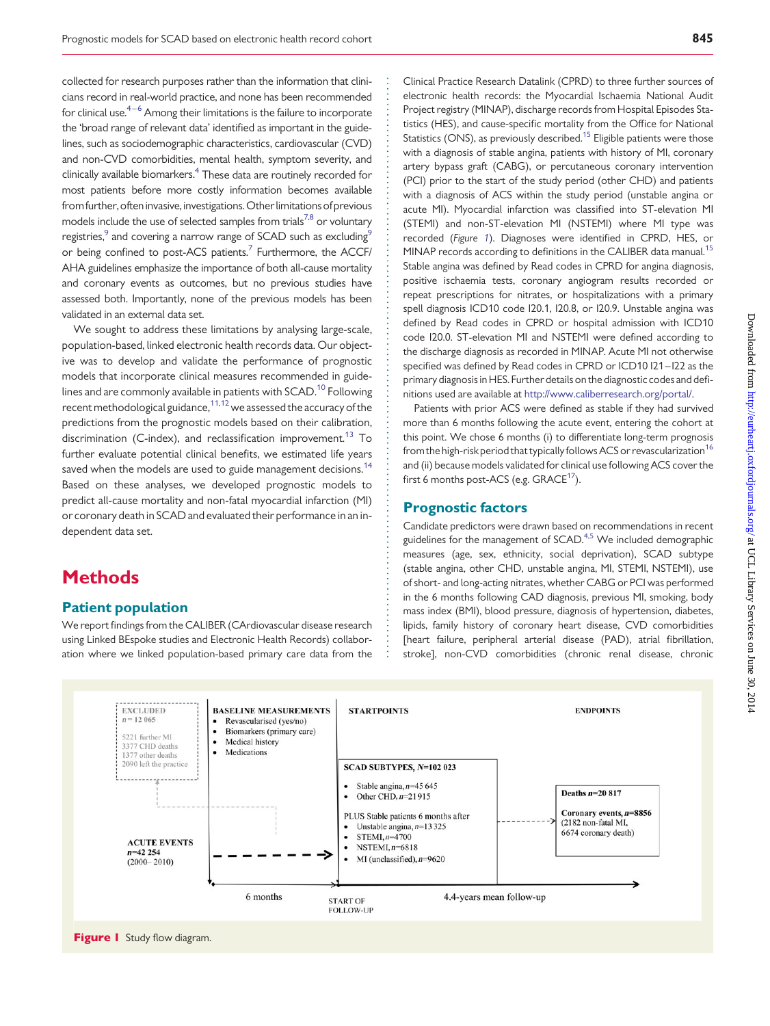collected for research purposes rather than the information that clinicians record in real-world practice, and none has been recommended for clinical use. $4-6$  $4-6$  Among their limitations is the failure to incorporate the 'broad range of relevant data' identified as important in the guidelines, such as sociodemographic characteristics, cardiovascular (CVD) and non-CVD comorbidities, mental health, symptom severity, and clinically available biomarkers.[4](#page-8-0) These data are routinely recorded for most patients before more costly information becomes available from further, often invasive, investigations. Other limitations of previous models include the use of selected samples from trials<sup>7,[8](#page-8-0)</sup> or voluntary registries,<sup>[9](#page-8-0)</sup> and covering a narrow range of SCAD such as excluding<sup>9</sup> or being confined to post-ACS patients.<sup>7</sup> Furthermore, the ACCF/ AHA guidelines emphasize the importance of both all-cause mortality and coronary events as outcomes, but no previous studies have assessed both. Importantly, none of the previous models has been validated in an external data set.

We sought to address these limitations by analysing large-scale, population-based, linked electronic health records data. Our objective was to develop and validate the performance of prognostic models that incorporate clinical measures recommended in guidelines and are commonly available in patients with SCAD.<sup>10</sup> Following recent methodological guidance, $11,12$  $11,12$  $11,12$  we assessed the accuracy of the predictions from the prognostic models based on their calibration, discrimination (C-index), and reclassification improvement.<sup>[13](#page-8-0)</sup> To further evaluate potential clinical benefits, we estimated life years saved when the models are used to guide management decisions.<sup>[14](#page-8-0)</sup> Based on these analyses, we developed prognostic models to predict all-cause mortality and non-fatal myocardial infarction (MI) or coronary death in SCAD and evaluated their performance in an independent data set.

# **Methods**

#### Patient population

We report findings from the CALIBER (CArdiovascular disease research using Linked BEspoke studies and Electronic Health Records) collaboration where we linked population-based primary care data from the Clinical Practice Research Datalink (CPRD) to three further sources of electronic health records: the Myocardial Ischaemia National Audit Project registry (MINAP), discharge records from Hospital Episodes Statistics (HES), and cause-specific mortality from the Office for National Statistics (ONS), as previously described.<sup>[15](#page-8-0)</sup> Eligible patients were those with a diagnosis of stable angina, patients with history of MI, coronary artery bypass graft (CABG), or percutaneous coronary intervention (PCI) prior to the start of the study period (other CHD) and patients with a diagnosis of ACS within the study period (unstable angina or acute MI). Myocardial infarction was classified into ST-elevation MI (STEMI) and non-ST-elevation MI (NSTEMI) where MI type was recorded (Figure 1). Diagnoses were identified in CPRD, HES, or MINAP records according to definitions in the CALIBER data manual.<sup>[15](#page-8-0)</sup> Stable angina was defined by Read codes in CPRD for angina diagnosis, positive ischaemia tests, coronary angiogram results recorded or repeat prescriptions for nitrates, or hospitalizations with a primary spell diagnosis ICD10 code I20.1, I20.8, or I20.9. Unstable angina was defined by Read codes in CPRD or hospital admission with ICD10 code I20.0. ST-elevation MI and NSTEMI were defined according to the discharge diagnosis as recorded in MINAP. Acute MI not otherwise specified was defined by Read codes in CPRD or ICD10 I21–I22 as the primary diagnosis in HES. Further details on the diagnostic codes and definitions used are available at <http://www.caliberresearch.org/portal/>.

Patients with prior ACS were defined as stable if they had survived more than 6 months following the acute event, entering the cohort at this point. We chose 6 months (i) to differentiate long-term prognosis from the high-risk period that typically follows ACS or revascularization<sup>[16](#page-8-0)</sup> and (ii) because models validated for clinical use following ACS cover the first 6 months post-ACS (e.g.  $GRACE<sup>17</sup>$  $GRACE<sup>17</sup>$  $GRACE<sup>17</sup>$ ).

#### Prognostic factors

Candidate predictors were drawn based on recommendations in recent guidelines for the management of SCAD.[4,5](#page-8-0) We included demographic measures (age, sex, ethnicity, social deprivation), SCAD subtype (stable angina, other CHD, unstable angina, MI, STEMI, NSTEMI), use of short- and long-acting nitrates, whether CABG or PCI was performed in the 6 months following CAD diagnosis, previous MI, smoking, body mass index (BMI), blood pressure, diagnosis of hypertension, diabetes, lipids, family history of coronary heart disease, CVD comorbidities [heart failure, peripheral arterial disease (PAD), atrial fibrillation, stroke], non-CVD comorbidities (chronic renal disease, chronic



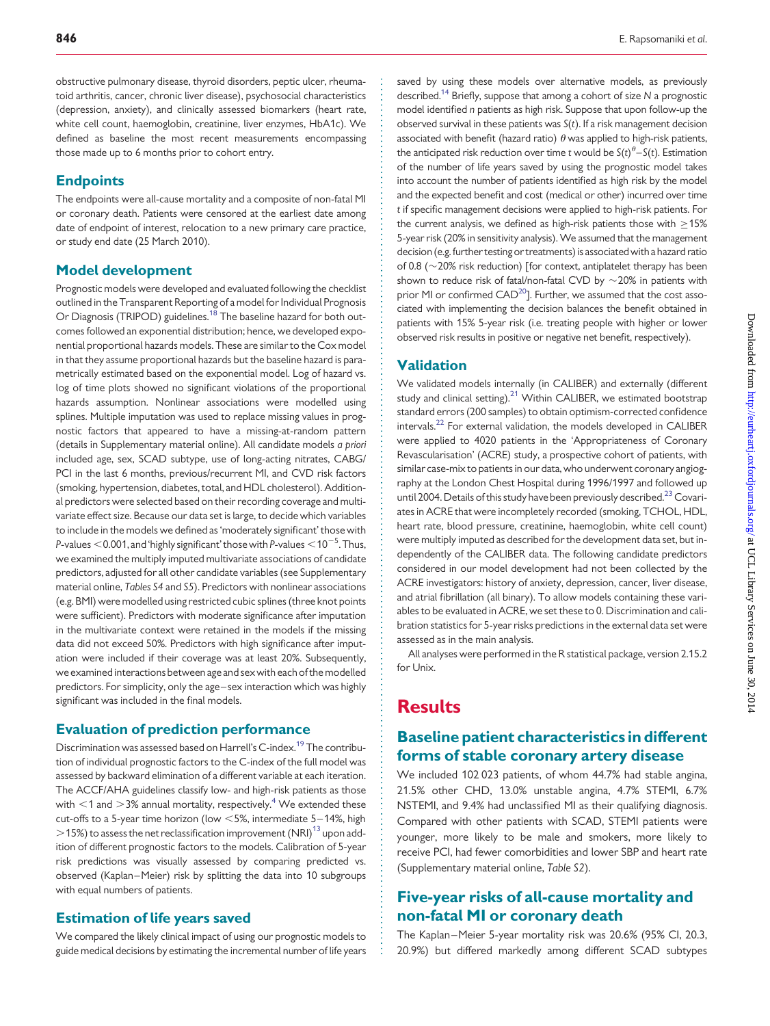obstructive pulmonary disease, thyroid disorders, peptic ulcer, rheumatoid arthritis, cancer, chronic liver disease), psychosocial characteristics (depression, anxiety), and clinically assessed biomarkers (heart rate, white cell count, haemoglobin, creatinine, liver enzymes, HbA1c). We defined as baseline the most recent measurements encompassing those made up to 6 months prior to cohort entry.

#### **Endpoints**

The endpoints were all-cause mortality and a composite of non-fatal MI or coronary death. Patients were censored at the earliest date among date of endpoint of interest, relocation to a new primary care practice, or study end date (25 March 2010).

#### Model development

Prognostic models were developed and evaluated following the checklist outlined in the Transparent Reporting of a model for Individual Prognosis Or Diagnosis (TRIPOD) guidelines.<sup>[18](#page-8-0)</sup> The baseline hazard for both outcomes followed an exponential distribution; hence, we developed exponential proportional hazards models. These are similar to the Cox model in that they assume proportional hazards but the baseline hazard is parametrically estimated based on the exponential model. Log of hazard vs. log of time plots showed no significant violations of the proportional hazards assumption. Nonlinear associations were modelled using splines. Multiple imputation was used to replace missing values in prognostic factors that appeared to have a missing-at-random pattern (details in Supplementary material online). All candidate models a priori included age, sex, SCAD subtype, use of long-acting nitrates, CABG/ PCI in the last 6 months, previous/recurrent MI, and CVD risk factors (smoking, hypertension, diabetes, total, and HDL cholesterol). Additional predictors were selected based on their recording coverage and multivariate effect size. Because our data set is large, to decide which variables to include in the models we defined as 'moderately significant' those with P-values  $<$  0.001, and 'highly significant' those with P-values  $<$  10 $^{-5}$ . Thus, we examined the multiply imputed multivariate associations of candidate predictors, adjusted for all other candidate variables (see [Supplementary](http://eurheartj.oxfordjournals.org/lookup/suppl/doi:10.1093/eurheartj/eht533/-/DC1) [material online,](http://eurheartj.oxfordjournals.org/lookup/suppl/doi:10.1093/eurheartj/eht533/-/DC1) Tables S4 and S5). Predictors with nonlinear associations (e.g. BMI) were modelled using restricted cubic splines (three knot points were sufficient). Predictors with moderate significance after imputation in the multivariate context were retained in the models if the missing data did not exceed 50%. Predictors with high significance after imputation were included if their coverage was at least 20%. Subsequently, we examined interactions between age and sex with each of the modelled predictors. For simplicity, only the age–sex interaction which was highly significant was included in the final models.

#### Evaluation of prediction performance

Discrimination was assessed based on Harrell's C-index.<sup>19</sup> The contribution of individual prognostic factors to the C-index of the full model was assessed by backward elimination of a different variable at each iteration. The ACCF/AHA guidelines classify low- and high-risk patients as those with  $<$ 1 and  $>$ 3% annual mortality, respectively.<sup>[4](#page-8-0)</sup> We extended these cut-offs to a 5-year time horizon (low  $<$  5%, intermediate 5–14%, high  $>$ 15%) to assess the net reclassification improvement (NRI)<sup>[13](#page-8-0)</sup> upon addition of different prognostic factors to the models. Calibration of 5-year risk predictions was visually assessed by comparing predicted vs. observed (Kaplan–Meier) risk by splitting the data into 10 subgroups with equal numbers of patients.

#### Estimation of life years saved

We compared the likely clinical impact of using our prognostic models to guide medical decisions by estimating the incremental number of life years

saved by using these models over alternative models, as previously described.<sup>14</sup> Briefly, suppose that among a cohort of size N a prognostic model identified n patients as high risk. Suppose that upon follow-up the observed survival in these patients was  $S(t)$ . If a risk management decision associated with benefit (hazard ratio)  $\theta$  was applied to high-risk patients, the anticipated risk reduction over time t would be  $S(t)^{\theta} - S(t)$ . Estimation of the number of life years saved by using the prognostic model takes into account the number of patients identified as high risk by the model and the expected benefit and cost (medical or other) incurred over time t if specific management decisions were applied to high-risk patients. For the current analysis, we defined as high-risk patients those with  $\geq$ 15% 5-year risk (20% in sensitivity analysis). We assumed that the management decision (e.g. further testing or treatments) is associated with a hazard ratio of 0.8 ( $\sim$ 20% risk reduction) [for context, antiplatelet therapy has been shown to reduce risk of fatal/non-fatal CVD by  $\sim$  20% in patients with prior MI or confirmed  $CAD^{20}$ ]. Further, we assumed that the cost associated with implementing the decision balances the benefit obtained in patients with 15% 5-year risk (i.e. treating people with higher or lower observed risk results in positive or negative net benefit, respectively).

#### **Validation**

We validated models internally (in CALIBER) and externally (different study and clinical setting).<sup>[21](#page-8-0)</sup> Within CALIBER, we estimated bootstrap standard errors (200 samples) to obtain optimism-corrected confidence intervals.<sup>[22](#page-8-0)</sup> For external validation, the models developed in CALIBER were applied to 4020 patients in the 'Appropriateness of Coronary Revascularisation' (ACRE) study, a prospective cohort of patients, with similar case-mix to patients in our data, who underwent coronary angiography at the London Chest Hospital during 1996/1997 and followed up until 2004. Details of this study have been previously described.<sup>[23](#page-8-0)</sup> Covariates in ACRE that were incompletely recorded (smoking, TCHOL, HDL, heart rate, blood pressure, creatinine, haemoglobin, white cell count) were multiply imputed as described for the development data set, but independently of the CALIBER data. The following candidate predictors considered in our model development had not been collected by the ACRE investigators: history of anxiety, depression, cancer, liver disease, and atrial fibrillation (all binary). To allow models containing these variables to be evaluated in ACRE, we set these to 0. Discrimination and calibration statistics for 5-year risks predictions in the external data set were assessed as in the main analysis.

All analyses were performed in the R statistical package, version 2.15.2 for Unix.

# **Results**

# Baseline patient characteristics in different forms of stable coronary artery disease

We included 102 023 patients, of whom 44.7% had stable angina, 21.5% other CHD, 13.0% unstable angina, 4.7% STEMI, 6.7% NSTEMI, and 9.4% had unclassified MI as their qualifying diagnosis. Compared with other patients with SCAD, STEMI patients were younger, more likely to be male and smokers, more likely to receive PCI, had fewer comorbidities and lower SBP and heart rate [\(Supplementary material online,](http://eurheartj.oxfordjournals.org/lookup/suppl/doi:10.1093/eurheartj/eht533/-/DC1) Table S2).

## Five-year risks of all-cause mortality and non-fatal MI or coronary death

The Kaplan–Meier 5-year mortality risk was 20.6% (95% CI, 20.3, 20.9%) but differed markedly among different SCAD subtypes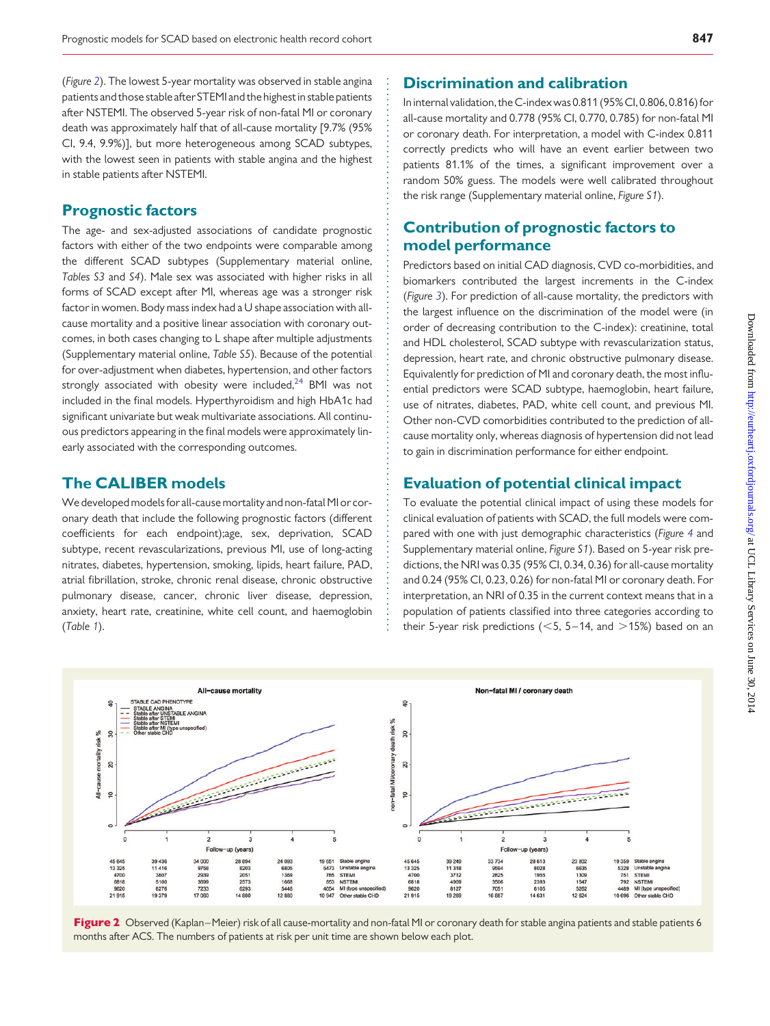(Figure 2). The lowest 5-year mortality was observed in stable angina patients and those stable after STEMI and the highest in stable patients after NSTEMI. The observed 5-year risk of non-fatal MI or coronary death was approximately half that of all-cause mortality [9.7% (95% CI, 9.4, 9.9%)], but more heterogeneous among SCAD subtypes, with the lowest seen in patients with stable angina and the highest in stable patients after NSTEMI.

#### Prognostic factors

The age- and sex-adjusted associations of candidate prognostic factors with either of the two endpoints were comparable among the different SCAD subtypes [\(Supplementary material online,](http://eurheartj.oxfordjournals.org/lookup/suppl/doi:10.1093/eurheartj/eht533/-/DC1) [Tables S3](http://eurheartj.oxfordjournals.org/lookup/suppl/doi:10.1093/eurheartj/eht533/-/DC1) and S4). Male sex was associated with higher risks in all forms of SCAD except after MI, whereas age was a stronger risk factor in women. Body mass index had a U shape association with allcause mortality and a positive linear association with coronary outcomes, in both cases changing to L shape after multiple adjustments [\(Supplementary material online,](http://eurheartj.oxfordjournals.org/lookup/suppl/doi:10.1093/eurheartj/eht533/-/DC1) Table S5). Because of the potential for over-adjustment when diabetes, hypertension, and other factors strongly associated with obesity were included, $24$  BMI was not included in the final models. Hyperthyroidism and high HbA1c had significant univariate but weak multivariate associations. All continuous predictors appearing in the final models were approximately linearly associated with the corresponding outcomes.

## The CALIBER models

We developed models for all-cause mortality and non-fatal MI or coronary death that include the following prognostic factors (different coefficients for each endpoint);age, sex, deprivation, SCAD subtype, recent revascularizations, previous MI, use of long-acting nitrates, diabetes, hypertension, smoking, lipids, heart failure, PAD, atrial fibrillation, stroke, chronic renal disease, chronic obstructive pulmonary disease, cancer, chronic liver disease, depression, anxiety, heart rate, creatinine, white cell count, and haemoglobin (Table [1](#page-4-0)).

## Discrimination and calibration

In internal validation, the C-index was 0.811 (95% CI, 0.806, 0.816) for all-cause mortality and 0.778 (95% CI, 0.770, 0.785) for non-fatal MI or coronary death. For interpretation, a model with C-index 0.811 correctly predicts who will have an event earlier between two patients 81.1% of the times, a significant improvement over a random 50% guess. The models were well calibrated throughout the risk range [\(Supplementary material online,](http://eurheartj.oxfordjournals.org/lookup/suppl/doi:10.1093/eurheartj/eht533/-/DC1) Figure S1).

# Contribution of prognostic factors to model performance

Predictors based on initial CAD diagnosis, CVD co-morbidities, and biomarkers contributed the largest increments in the C-index (Figure [3](#page-5-0)). For prediction of all-cause mortality, the predictors with the largest influence on the discrimination of the model were (in order of decreasing contribution to the C-index): creatinine, total and HDL cholesterol, SCAD subtype with revascularization status, depression, heart rate, and chronic obstructive pulmonary disease. Equivalently for prediction of MI and coronary death, the most influential predictors were SCAD subtype, haemoglobin, heart failure, use of nitrates, diabetes, PAD, white cell count, and previous MI. Other non-CVD comorbidities contributed to the prediction of allcause mortality only, whereas diagnosis of hypertension did not lead to gain in discrimination performance for either endpoint.

## Evaluation of potential clinical impact

To evaluate the potential clinical impact of using these models for clinical evaluation of patients with SCAD, the full models were compared with one with just demographic characteristics (Figure [4](#page-6-0) and [Supplementary material online,](http://eurheartj.oxfordjournals.org/lookup/suppl/doi:10.1093/eurheartj/eht533/-/DC1) Figure S1). Based on 5-year risk predictions, the NRI was 0.35 (95% CI, 0.34, 0.36) for all-cause mortality and 0.24 (95% CI, 0.23, 0.26) for non-fatal MI or coronary death. For interpretation, an NRI of 0.35 in the current context means that in a population of patients classified into three categories according to their 5-year risk predictions ( $<$  5, 5–14, and  $>$  15%) based on an



Figure 2 Observed (Kaplan–Meier) risk of all cause-mortality and non-fatal MI or coronary death for stable angina patients and stable patients 6 months after ACS. The numbers of patients at risk per unit time are shown below each plot.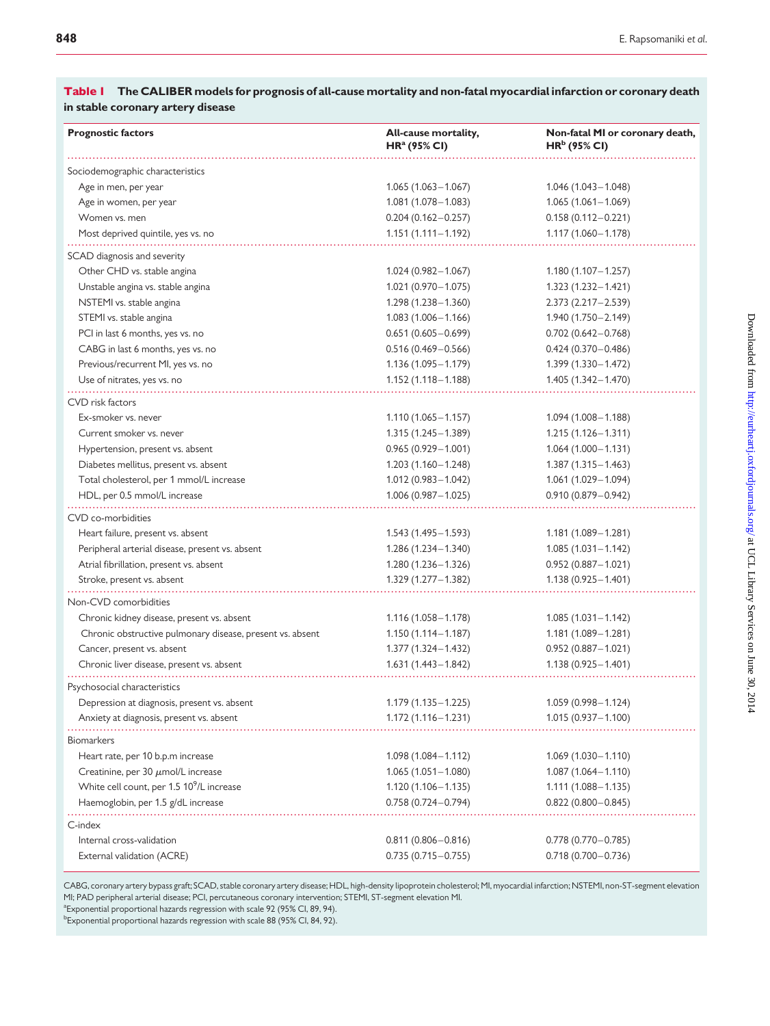| <b>Prognostic factors</b>                                  | All-cause mortality,<br>HR <sup>a</sup> (95% CI) | Non-fatal MI or coronary death,<br>$HRb$ (95% CI) |
|------------------------------------------------------------|--------------------------------------------------|---------------------------------------------------|
| Sociodemographic characteristics                           |                                                  |                                                   |
| Age in men, per year                                       | $1.065(1.063 - 1.067)$                           | $1.046(1.043 - 1.048)$                            |
| Age in women, per year                                     | $1.081(1.078 - 1.083)$                           | $1.065(1.061 - 1.069)$                            |
| Women vs. men                                              | $0.204(0.162 - 0.257)$                           | $0.158(0.112 - 0.221)$                            |
| Most deprived quintile, yes vs. no                         | $1.151(1.111 - 1.192)$                           | $1.117(1.060 - 1.178)$                            |
|                                                            |                                                  |                                                   |
| SCAD diagnosis and severity<br>Other CHD vs. stable angina |                                                  | $1.180(1.107 - 1.257)$                            |
| Unstable angina vs. stable angina                          | $1.024(0.982 - 1.067)$<br>$1.021(0.970 - 1.075)$ | $1.323(1.232 - 1.421)$                            |
| NSTEMI vs. stable angina                                   | $1.298(1.238 - 1.360)$                           | $2.373(2.217 - 2.539)$                            |
| STEMI vs. stable angina                                    | $1.083(1.006 - 1.166)$                           | 1.940 (1.750 - 2.149)                             |
| PCI in last 6 months, yes vs. no                           | $0.651(0.605 - 0.699)$                           | $0.702(0.642 - 0.768)$                            |
| CABG in last 6 months, yes vs. no                          | $0.516(0.469 - 0.566)$                           | $0.424(0.370 - 0.486)$                            |
| Previous/recurrent MI, yes vs. no                          | $1.136(1.095 - 1.179)$                           | 1.399 (1.330 - 1.472)                             |
| Use of nitrates, yes vs. no                                | $1.152(1.118 - 1.188)$                           | $1.405(1.342 - 1.470)$                            |
|                                                            |                                                  |                                                   |
| CVD risk factors                                           |                                                  |                                                   |
| Ex-smoker vs. never                                        | $1.110(1.065 - 1.157)$                           | $1.094(1.008 - 1.188)$                            |
| Current smoker vs. never                                   | $1.315(1.245 - 1.389)$                           | $1.215(1.126 - 1.311)$                            |
| Hypertension, present vs. absent                           | $0.965(0.929 - 1.001)$                           | $1.064(1.000 - 1.131)$                            |
| Diabetes mellitus, present vs. absent                      | $1.203(1.160 - 1.248)$                           | $1.387(1.315 - 1.463)$                            |
| Total cholesterol, per 1 mmol/L increase                   | $1.012(0.983 - 1.042)$                           | $1.061(1.029 - 1.094)$                            |
| HDL, per 0.5 mmol/L increase                               | $1.006(0.987 - 1.025)$                           | $0.910(0.879 - 0.942)$                            |
| CVD co-morbidities                                         |                                                  |                                                   |
| Heart failure, present vs. absent                          | $1.543(1.495 - 1.593)$                           | $1.181(1.089 - 1.281)$                            |
| Peripheral arterial disease, present vs. absent            | $1.286(1.234 - 1.340)$                           | $1.085(1.031 - 1.142)$                            |
| Atrial fibrillation, present vs. absent                    | 1.280 (1.236 - 1.326)                            | $0.952(0.887 - 1.021)$                            |
| Stroke, present vs. absent                                 | 1.329 (1.277 - 1.382)                            | $1.138(0.925 - 1.401)$                            |
| Non-CVD comorbidities                                      |                                                  |                                                   |
| Chronic kidney disease, present vs. absent                 | $1.116(1.058 - 1.178)$                           | $1.085(1.031 - 1.142)$                            |
| Chronic obstructive pulmonary disease, present vs. absent  | $1.150(1.114 - 1.187)$                           | $1.181(1.089 - 1.281)$                            |
| Cancer, present vs. absent                                 | 1.377 (1.324 - 1.432)                            | $0.952(0.887 - 1.021)$                            |
| Chronic liver disease, present vs. absent                  | $1.631(1.443 - 1.842)$                           | $1.138(0.925 - 1.401)$                            |
| Psychosocial characteristics                               |                                                  |                                                   |
| Depression at diagnosis, present vs. absent                | 1.179 (1.135 - 1.225)                            | 1.059 (0.998-1.124)                               |
| Anxiety at diagnosis, present vs. absent                   | 1.172 (1.116 - 1.231)                            | $1.015(0.937 - 1.100)$                            |
| <b>Biomarkers</b>                                          |                                                  |                                                   |
| Heart rate, per 10 b.p.m increase                          | $1.098(1.084 - 1.112)$                           | $1.069(1.030 - 1.110)$                            |
| Creatinine, per 30 $\mu$ mol/L increase                    | $1.065(1.051 - 1.080)$                           | $1.087(1.064 - 1.110)$                            |
| White cell count, per 1.5 10 <sup>9</sup> /L increase      | $1.120(1.106 - 1.135)$                           | $1.111(1.088 - 1.135)$                            |
| Haemoglobin, per 1.5 g/dL increase                         | $0.758(0.724 - 0.794)$                           | $0.822(0.800 - 0.845)$                            |
|                                                            |                                                  |                                                   |
| C-index<br>Internal cross-validation                       | $0.811(0.806 - 0.816)$                           | $0.778(0.770 - 0.785)$                            |
| External validation (ACRE)                                 | $0.735(0.715 - 0.755)$                           | $0.718(0.700 - 0.736)$                            |
|                                                            |                                                  |                                                   |

#### <span id="page-4-0"></span>Table 1 The CALIBER models for prognosis of all-cause mortality and non-fatal myocardial infarction or coronary death in stable coronary artery disease

CABG, coronary artery bypass graft; SCAD, stable coronary artery disease; HDL, high-density lipoprotein cholesterol; MI, myocardial infarction; NSTEMI, non-ST-segment elevation MI; PAD peripheral arterial disease; PCI, percutaneous coronary intervention; STEMI, ST-segment elevation MI.

<sup>a</sup> Exponential proportional hazards regression with scale 92 (95% CI, 89, 94).

<sup>b</sup>Exponential proportional hazards regression with scale 88 (95% CI, 84, 92).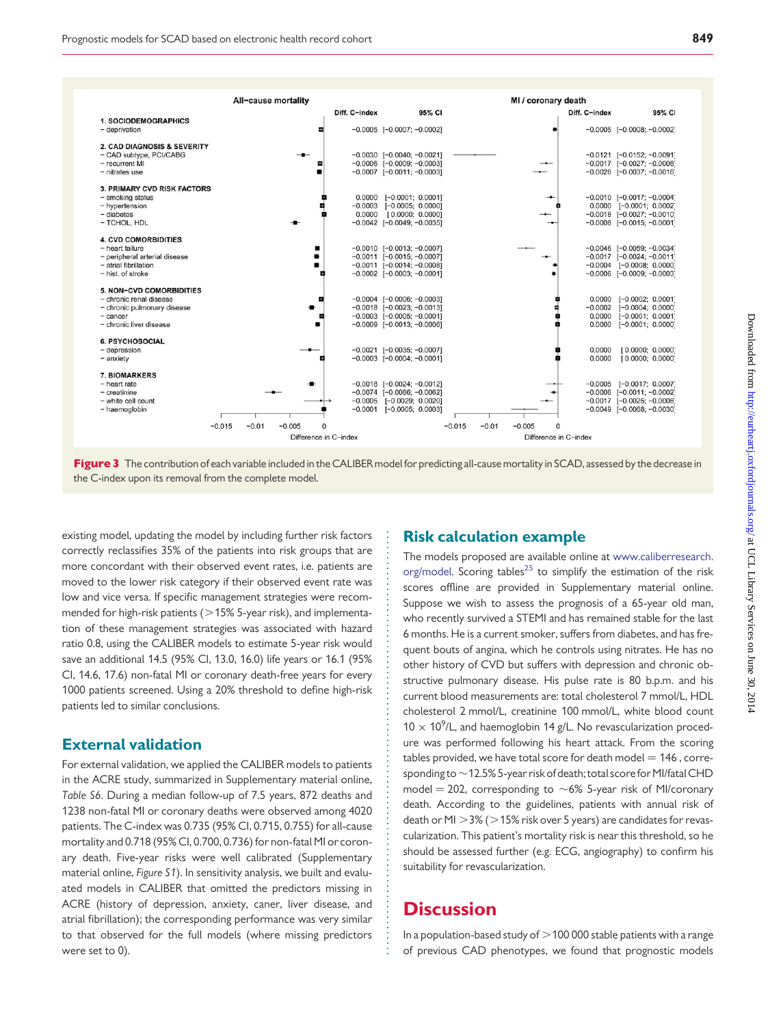<span id="page-5-0"></span>

Figure 3 The contribution of each variable included in the CALIBER model for predicting all-cause mortality in SCAD, assessed by the decrease in the C-index upon its removal from the complete model.

existing model, updating the model by including further risk factors correctly reclassifies 35% of the patients into risk groups that are more concordant with their observed event rates, i.e. patients are moved to the lower risk category if their observed event rate was low and vice versa. If specific management strategies were recommended for high-risk patients ( $>$ 15% 5-year risk), and implementation of these management strategies was associated with hazard ratio 0.8, using the CALIBER models to estimate 5-year risk would save an additional 14.5 (95% CI, 13.0, 16.0) life years or 16.1 (95% CI, 14.6, 17.6) non-fatal MI or coronary death-free years for every 1000 patients screened. Using a 20% threshold to define high-risk patients led to similar conclusions.

#### External validation

For external validation, we applied the CALIBER models to patients in the ACRE study, summarized in [Supplementary material online,](http://eurheartj.oxfordjournals.org/lookup/suppl/doi:10.1093/eurheartj/eht533/-/DC1) [Table S6](http://eurheartj.oxfordjournals.org/lookup/suppl/doi:10.1093/eurheartj/eht533/-/DC1). During a median follow-up of 7.5 years, 872 deaths and 1238 non-fatal MI or coronary deaths were observed among 4020 patients. The C-index was 0.735 (95% CI, 0.715, 0.755) for all-cause mortality and 0.718 (95% CI, 0.700, 0.736) for non-fatal MI or coronary death. Five-year risks were well calibrated ([Supplementary](http://eurheartj.oxfordjournals.org/lookup/suppl/doi:10.1093/eurheartj/eht533/-/DC1) [material online,](http://eurheartj.oxfordjournals.org/lookup/suppl/doi:10.1093/eurheartj/eht533/-/DC1) Figure S1). In sensitivity analysis, we built and evaluated models in CALIBER that omitted the predictors missing in ACRE (history of depression, anxiety, caner, liver disease, and atrial fibrillation); the corresponding performance was very similar to that observed for the full models (where missing predictors were set to 0).

### Risk calculation example

The models proposed are available online at [www.caliberresearch.](www.caliberresearch.org/model) [org/model](www.caliberresearch.org/model). Scoring tables<sup>[25](#page-8-0)</sup> to simplify the estimation of the risk scores offline are provided in [Supplementary material online](http://eurheartj.oxfordjournals.org/lookup/suppl/doi:10.1093/eurheartj/eht533/-/DC1). Suppose we wish to assess the prognosis of a 65-year old man, who recently survived a STEMI and has remained stable for the last 6 months. He is a current smoker, suffers from diabetes, and has frequent bouts of angina, which he controls using nitrates. He has no other history of CVD but suffers with depression and chronic obstructive pulmonary disease. His pulse rate is 80 b.p.m. and his current blood measurements are: total cholesterol 7 mmol/L, HDL cholesterol 2 mmol/L, creatinine 100 mmol/L, white blood count  $10 \times 10^9$ /L, and haemoglobin 14 g/L. No revascularization procedure was performed following his heart attack. From the scoring tables provided, we have total score for death model  $= 146$ , corresponding to  $\sim$  12.5% 5-year risk of death; total score for MI/fatal CHD model = 202, corresponding to  $\sim$  6% 5-year risk of MI/coronary death. According to the guidelines, patients with annual risk of death or MI  $>$  3% ( $>$  15% risk over 5 years) are candidates for revascularization. This patient's mortality risk is near this threshold, so he should be assessed further (e.g. ECG, angiography) to confirm his suitability for revascularization.

# **Discussion**

In a population-based study of  $>$  100 000 stable patients with a range of previous CAD phenotypes, we found that prognostic models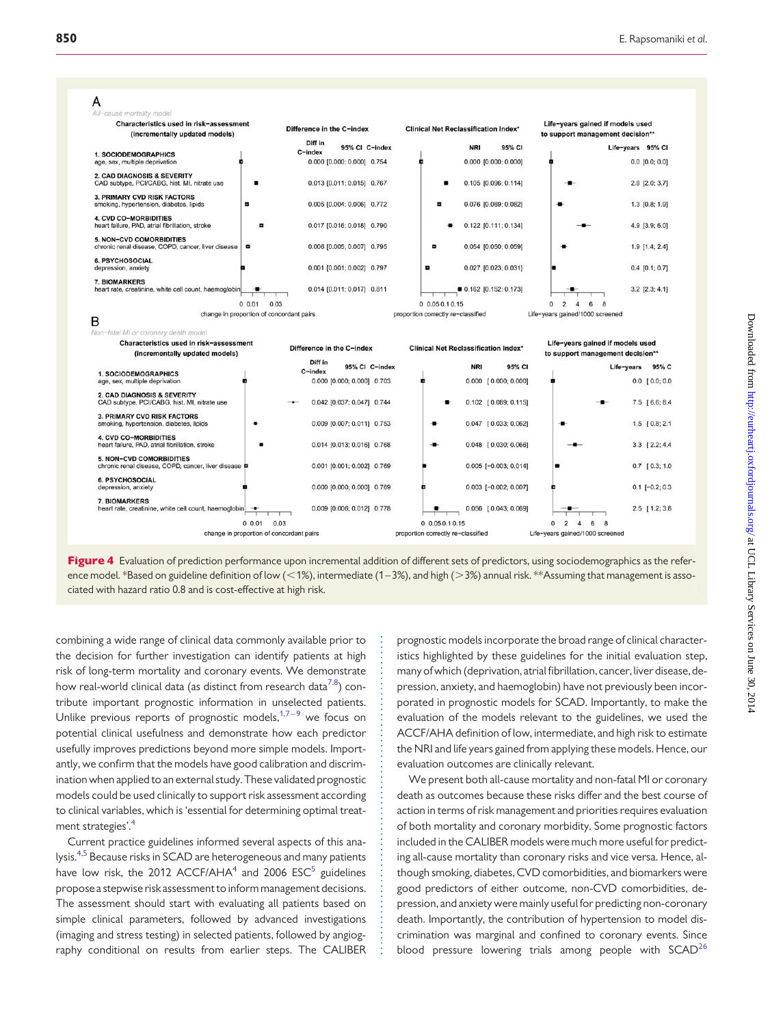<span id="page-6-0"></span>



combining a wide range of clinical data commonly available prior to the decision for further investigation can identify patients at high risk of long-term mortality and coronary events. We demonstrate how real-world clinical data (as distinct from research data $^{7,8})$  $^{7,8})$  $^{7,8})$  contribute important prognostic information in unselected patients. Unlike previous reports of prognostic models,  $1.7-9$  $1.7-9$  $1.7-9$  $1.7-9$  $1.7-9$  we focus on potential clinical usefulness and demonstrate how each predictor usefully improves predictions beyond more simple models. Importantly, we confirm that the models have good calibration and discrimination when applied to an external study.These validated prognostic models could be used clinically to support risk assessment according to clinical variables, which is 'essential for determining optimal treatment strategies'.

Current practice guidelines informed several aspects of this analysis[.4,5](#page-8-0) Because risks in SCAD are heterogeneous and many patients have low risk, the 2012 ACCF/AHA $4$  and 2006 ESC $5$  guidelines propose a stepwise risk assessment to inform management decisions. The assessment should start with evaluating all patients based on simple clinical parameters, followed by advanced investigations (imaging and stress testing) in selected patients, followed by angiography conditional on results from earlier steps. The CALIBER prognostic models incorporate the broad range of clinical characteristics highlighted by these guidelines for the initial evaluation step, many of which (deprivation, atrial fibrillation, cancer, liver disease, depression, anxiety, and haemoglobin) have not previously been incorporated in prognostic models for SCAD. Importantly, to make the evaluation of the models relevant to the guidelines, we used the ACCF/AHA definition of low, intermediate, and high risk to estimate the NRI and life years gained from applying these models. Hence, our evaluation outcomes are clinically relevant.

We present both all-cause mortality and non-fatal MI or coronary death as outcomes because these risks differ and the best course of action in terms of risk management and priorities requires evaluation of both mortality and coronary morbidity. Some prognostic factors included in the CALIBER models were much more useful for predicting all-cause mortality than coronary risks and vice versa. Hence, although smoking, diabetes, CVD comorbidities, and biomarkers were good predictors of either outcome, non-CVD comorbidities, depression, and anxiety were mainly useful for predicting non-coronary death. Importantly, the contribution of hypertension to model discrimination was marginal and confined to coronary events. Since blood pressure lowering trials among people with  $SCAD<sup>26</sup>$  $SCAD<sup>26</sup>$  $SCAD<sup>26</sup>$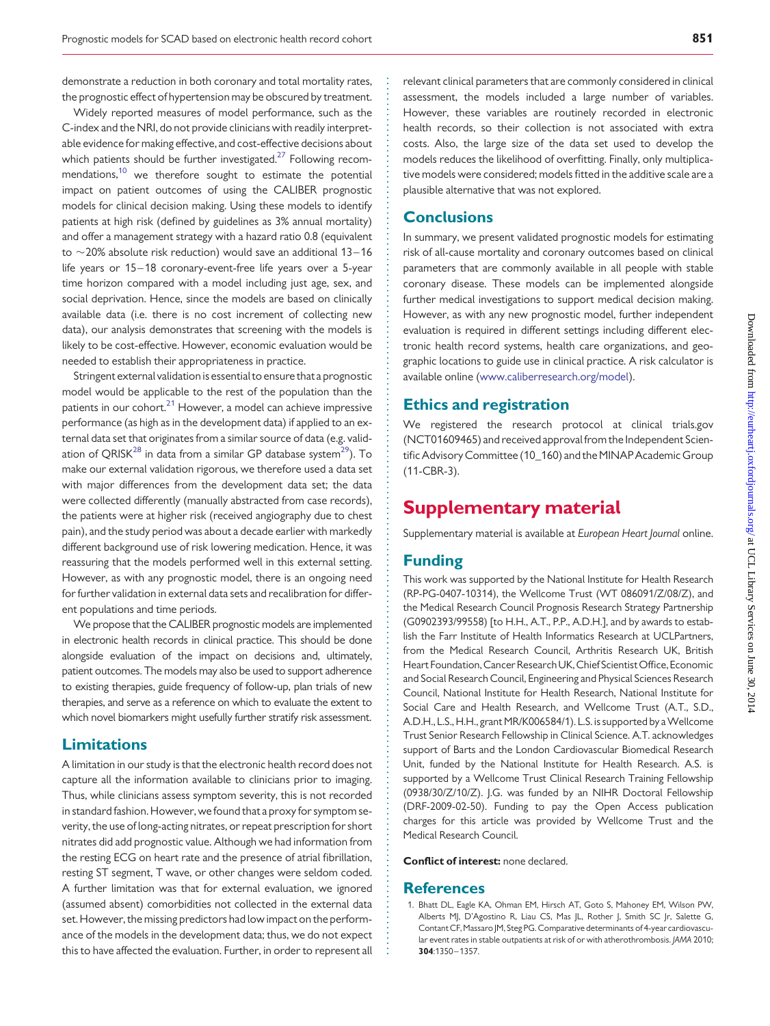<span id="page-7-0"></span>demonstrate a reduction in both coronary and total mortality rates, the prognostic effect of hypertension may be obscured by treatment.

Widely reported measures of model performance, such as the C-index and the NRI, do not provide clinicians with readily interpretable evidence for making effective, and cost-effective decisions about which patients should be further investigated. $27$  Following recommendations,[10](#page-8-0) we therefore sought to estimate the potential impact on patient outcomes of using the CALIBER prognostic models for clinical decision making. Using these models to identify patients at high risk (defined by guidelines as 3% annual mortality) and offer a management strategy with a hazard ratio 0.8 (equivalent to  $\sim$  20% absolute risk reduction) would save an additional 13–16 life years or 15–18 coronary-event-free life years over a 5-year time horizon compared with a model including just age, sex, and social deprivation. Hence, since the models are based on clinically available data (i.e. there is no cost increment of collecting new data), our analysis demonstrates that screening with the models is likely to be cost-effective. However, economic evaluation would be needed to establish their appropriateness in practice.

Stringent external validation is essential to ensure that a prognostic model would be applicable to the rest of the population than the patients in our cohort. $21$  However, a model can achieve impressive performance (as high as in the development data) if applied to an external data set that originates from a similar source of data (e.g. valid-ation of QRISK<sup>[28](#page-8-0)</sup> in data from a similar GP database system<sup>[29](#page-8-0)</sup>). To make our external validation rigorous, we therefore used a data set with major differences from the development data set; the data were collected differently (manually abstracted from case records), the patients were at higher risk (received angiography due to chest pain), and the study period was about a decade earlier with markedly different background use of risk lowering medication. Hence, it was reassuring that the models performed well in this external setting. However, as with any prognostic model, there is an ongoing need for further validation in external data sets and recalibration for different populations and time periods.

We propose that the CALIBER prognostic models are implemented in electronic health records in clinical practice. This should be done alongside evaluation of the impact on decisions and, ultimately, patient outcomes. The models may also be used to support adherence to existing therapies, guide frequency of follow-up, plan trials of new therapies, and serve as a reference on which to evaluate the extent to which novel biomarkers might usefully further stratify risk assessment.

## Limitations

A limitation in our study is that the electronic health record does not capture all the information available to clinicians prior to imaging. Thus, while clinicians assess symptom severity, this is not recorded in standard fashion. However, we found that a proxy for symptom severity, the use of long-acting nitrates, or repeat prescription for short nitrates did add prognostic value. Although we had information from the resting ECG on heart rate and the presence of atrial fibrillation, resting ST segment, T wave, or other changes were seldom coded. A further limitation was that for external evaluation, we ignored (assumed absent) comorbidities not collected in the external data set. However, the missing predictors had low impact on the performance of the models in the development data; thus, we do not expect this to have affected the evaluation. Further, in order to represent all relevant clinical parameters that are commonly considered in clinical assessment, the models included a large number of variables. However, these variables are routinely recorded in electronic health records, so their collection is not associated with extra costs. Also, the large size of the data set used to develop the models reduces the likelihood of overfitting. Finally, only multiplicative models were considered; models fitted in the additive scale are a plausible alternative that was not explored.

#### **Conclusions**

In summary, we present validated prognostic models for estimating risk of all-cause mortality and coronary outcomes based on clinical parameters that are commonly available in all people with stable coronary disease. These models can be implemented alongside further medical investigations to support medical decision making. However, as with any new prognostic model, further independent evaluation is required in different settings including different electronic health record systems, health care organizations, and geographic locations to guide use in clinical practice. A risk calculator is available online [\(www.caliberresearch.org/model](www.caliberresearch.org/model)).

## Ethics and registration

We registered the research protocol at clinical trials.gov (NCT01609465) and received approval from the Independent Scientific Advisory Committee (10\_160) and the MINAP Academic Group (11-CBR-3).

# Supplementary material

[Supplementary material is available at](http://eurheartj.oxfordjournals.org/lookup/suppl/doi:10.1093/eurheartj/eht533/-/DC1) European Heart Journal online.

## Funding

This work was supported by the National Institute for Health Research (RP-PG-0407-10314), the Wellcome Trust (WT 086091/Z/08/Z), and the Medical Research Council Prognosis Research Strategy Partnership (G0902393/99558) [to H.H., A.T., P.P., A.D.H.], and by awards to establish the Farr Institute of Health Informatics Research at UCLPartners, from the Medical Research Council, Arthritis Research UK, British Heart Foundation, Cancer Research UK, Chief Scientist Office, Economic and Social Research Council, Engineering and Physical Sciences Research Council, National Institute for Health Research, National Institute for Social Care and Health Research, and Wellcome Trust (A.T., S.D., A.D.H., L.S., H.H., grant MR/K006584/1). L.S. is supported bya Wellcome Trust Senior Research Fellowship in Clinical Science. A.T. acknowledges support of Barts and the London Cardiovascular Biomedical Research Unit, funded by the National Institute for Health Research. A.S. is supported by a Wellcome Trust Clinical Research Training Fellowship (0938/30/Z/10/Z). J.G. was funded by an NIHR Doctoral Fellowship (DRF-2009-02-50). Funding to pay the Open Access publication charges for this article was provided by Wellcome Trust and the Medical Research Council.

Conflict of interest: none declared.

#### **References**

1. Bhatt DL, Eagle KA, Ohman EM, Hirsch AT, Goto S, Mahoney EM, Wilson PW, Alberts MJ, D'Agostino R, Liau CS, Mas JL, Rother J, Smith SC Jr, Salette G, Contant CF, Massaro JM, Steg PG. Comparative determinants of 4-year cardiovascular event rates in stable outpatients at risk of or with atherothrombosis. JAMA 2010; 304:1350–1357.